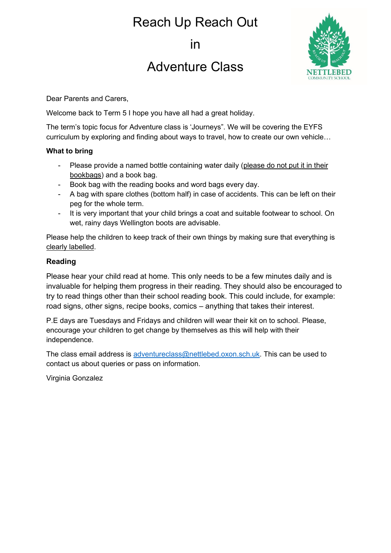# Reach Up Reach Out

in

## Adventure Class



Dear Parents and Carers,

Welcome back to Term 5 I hope you have all had a great holiday.

The term's topic focus for Adventure class is 'Journeys". We will be covering the EYFS curriculum by exploring and finding about ways to travel, how to create our own vehicle…

#### **What to bring**

- Please provide a named bottle containing water daily (please do not put it in their bookbags) and a book bag.
- Book bag with the reading books and word bags every day.
- A bag with spare clothes (bottom half) in case of accidents. This can be left on their peg for the whole term.
- It is very important that your child brings a coat and suitable footwear to school. On wet, rainy days Wellington boots are advisable.

Please help the children to keep track of their own things by making sure that everything is clearly labelled.

#### **Reading**

Please hear your child read at home. This only needs to be a few minutes daily and is invaluable for helping them progress in their reading. They should also be encouraged to try to read things other than their school reading book. This could include, for example: road signs, other signs, recipe books, comics – anything that takes their interest.

P.E days are Tuesdays and Fridays and children will wear their kit on to school. Please, encourage your children to get change by themselves as this will help with their independence.

The class email address is [adventureclass@nettlebed.oxon.sch.uk.](mailto:adventureclass@nettlebed.oxon.sch.uk) This can be used to contact us about queries or pass on information.

Virginia Gonzalez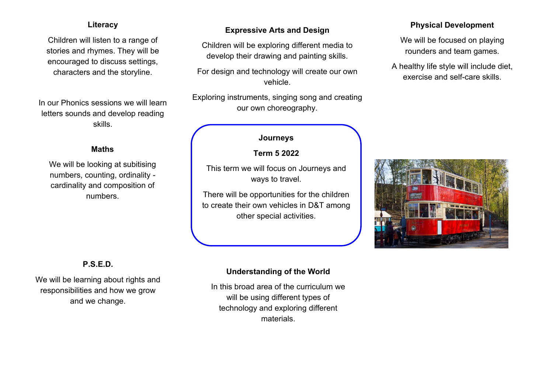## **Literacy**

Children will listen to a range of stories and rhymes. They will be encouraged to discuss settings, characters and the storyline.

In our Phonics sessions we will learn letters sounds and develop reading skills.

## **Maths**

We will be looking at subitising numbers, counting, ordinality cardinality and composition of numbers.

## **Expressive Arts and Design**

Children will be exploring different media to develop their drawing and painting skills.

For design and technology will create our own vehicle.

Exploring instruments, singing song and creating our own choreography.

## **Journeys**

#### **Term 5 2022**

This term we will focus on Journeys and ways to travel.

There will be opportunities for the children to create their own vehicles in D&T among other special activities.

## **Physical Development**

We will be focused on playing rounders and team games.

A healthy life style will include diet, exercise and self-care skills.



## **P.S.E.D.**

We will be learning about rights and responsibilities and how we grow and we change.

## **Understanding of the World**

In this broad area of the curriculum we will be using different types of technology and exploring different materials.